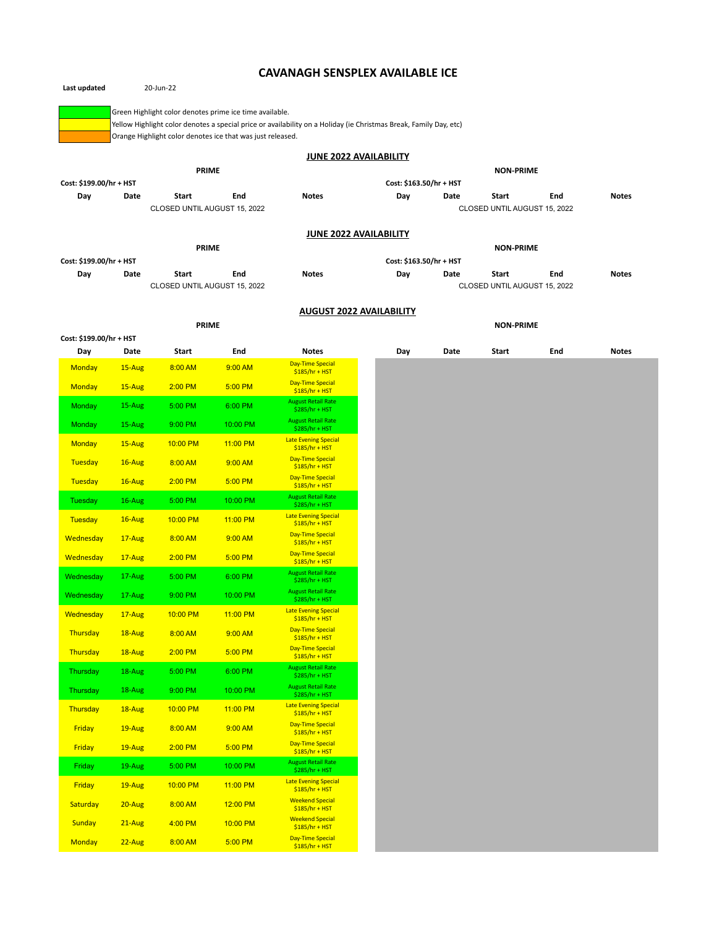## **CAVANAGH SENSPLEX AVAILABLE ICE**

| Green Highlight color denotes prime ice time available.                                                                                                                         |              |                              |                                                     |                                                |                         |                                |      |                              |     |              |
|---------------------------------------------------------------------------------------------------------------------------------------------------------------------------------|--------------|------------------------------|-----------------------------------------------------|------------------------------------------------|-------------------------|--------------------------------|------|------------------------------|-----|--------------|
| Yellow Highlight color denotes a special price or availability on a Holiday (ie Christmas Break, Family Day, etc)<br>Orange Highlight color denotes ice that was just released. |              |                              |                                                     |                                                |                         |                                |      |                              |     |              |
| <b>JUNE 2022 AVAILABILITY</b>                                                                                                                                                   |              |                              |                                                     |                                                |                         |                                |      |                              |     |              |
|                                                                                                                                                                                 |              | <b>PRIME</b>                 |                                                     |                                                |                         |                                |      | <b>NON-PRIME</b>             |     |              |
| Cost: \$199.00/hr + HST                                                                                                                                                         |              |                              |                                                     |                                                | Cost: \$163.50/hr + HST |                                |      |                              |     |              |
| Day                                                                                                                                                                             | Date         | Start                        | End                                                 | <b>Notes</b>                                   |                         | Day                            | Date | Start                        | End | <b>Notes</b> |
|                                                                                                                                                                                 |              | CLOSED UNTIL AUGUST 15, 2022 |                                                     |                                                |                         |                                |      | CLOSED UNTIL AUGUST 15, 2022 |     |              |
| <b>JUNE 2022 AVAILABILITY</b>                                                                                                                                                   |              |                              |                                                     |                                                |                         |                                |      |                              |     |              |
|                                                                                                                                                                                 |              | <b>PRIME</b>                 |                                                     |                                                |                         | <b>NON-PRIME</b>               |      |                              |     |              |
| Cost: \$199.00/hr + HST<br>Day<br>Date                                                                                                                                          |              | Start<br>End                 |                                                     | <b>Notes</b>                                   |                         | Cost: \$163.50/hr + HST<br>Day | Date | Start                        | End | <b>Notes</b> |
|                                                                                                                                                                                 |              | CLOSED UNTIL AUGUST 15, 2022 |                                                     |                                                |                         |                                |      | CLOSED UNTIL AUGUST 15, 2022 |     |              |
|                                                                                                                                                                                 |              |                              |                                                     |                                                |                         |                                |      |                              |     |              |
|                                                                                                                                                                                 | <b>PRIME</b> |                              | <b>AUGUST 2022 AVAILABILITY</b><br><b>NON-PRIME</b> |                                                |                         |                                |      |                              |     |              |
| Cost: \$199.00/hr + HST                                                                                                                                                         |              |                              |                                                     |                                                |                         |                                |      |                              |     |              |
| Day                                                                                                                                                                             | Date         | Start                        | End                                                 | <b>Notes</b>                                   |                         | Day                            | Date | Start                        | End | <b>Notes</b> |
| <b>Monday</b>                                                                                                                                                                   | 15-Aug       | 8:00 AM                      | 9:00 AM                                             | <b>Day-Time Special</b><br>$$185/hr + HST$     |                         |                                |      |                              |     |              |
| <b>Monday</b>                                                                                                                                                                   | 15-Aug       | $2:00$ PM                    | 5:00 PM                                             | <b>Day-Time Special</b><br>$$185/hr + HST$     |                         |                                |      |                              |     |              |
| <b>Monday</b>                                                                                                                                                                   | 15-Aug       | 5:00 PM                      | 6:00 PM                                             | <b>August Retail Rate</b><br>\$285/hr + HST    |                         |                                |      |                              |     |              |
| <b>Monday</b>                                                                                                                                                                   | 15-Aug       | 9:00 PM                      | 10:00 PM                                            | <b>August Retail Rate</b><br>\$285/hr + HST    |                         |                                |      |                              |     |              |
| <b>Monday</b>                                                                                                                                                                   | 15-Aug       | 10:00 PM                     | 11:00 PM                                            | <b>Late Evening Special</b>                    |                         |                                |      |                              |     |              |
| Tuesday                                                                                                                                                                         | $16 - Aug$   | 8:00 AM                      | 9:00 AM                                             | $$185/hr + HST$<br><b>Day-Time Special</b>     |                         |                                |      |                              |     |              |
|                                                                                                                                                                                 |              | $2:00$ PM                    | 5:00 PM                                             | $$185/hr + HST$<br><b>Day-Time Special</b>     |                         |                                |      |                              |     |              |
| Tuesday                                                                                                                                                                         | $16$ -Aug    |                              |                                                     | $$185/hr + HST$<br><b>August Retail Rate</b>   |                         |                                |      |                              |     |              |
| Tuesday                                                                                                                                                                         | 16-Aug       | 5:00 PM                      | 10:00 PM                                            | $$285/hr + HST$                                |                         |                                |      |                              |     |              |
| <b>Tuesday</b>                                                                                                                                                                  | $16$ -Aug    | 10:00 PM                     | 11:00 PM                                            | <b>Late Evening Special</b><br>$$185/hr + HST$ |                         |                                |      |                              |     |              |
| Wednesday                                                                                                                                                                       | 17-Aug       | 8:00 AM                      | 9:00 AM                                             | <b>Day-Time Special</b><br>$$185/hr + HST$     |                         |                                |      |                              |     |              |
| Wednesday                                                                                                                                                                       | $17 - Aug$   | $2:00$ PM                    | 5:00 PM                                             | <b>Day-Time Special</b><br>$$185/hr + HST$     |                         |                                |      |                              |     |              |
| Wednesday                                                                                                                                                                       | 17-Aug       | 5:00 PM                      | 6:00 PM                                             | <b>August Retail Rate</b><br>$$285/hr + HST$   |                         |                                |      |                              |     |              |
| Wednesday                                                                                                                                                                       | 17-Aug       | 9:00 PM                      | 10:00 PM                                            | <b>August Retail Rate</b><br>$$285/hr + HST$   |                         |                                |      |                              |     |              |
| Wednesday                                                                                                                                                                       | $17 - Aug$   | 10:00 PM                     | 11:00 PM                                            | <b>Late Evening Special</b><br>$$185/hr + HST$ |                         |                                |      |                              |     |              |
| Thursday                                                                                                                                                                        | 18-Aug       | 8:00 AM                      | 9:00 AM                                             | <b>Day-Time Special</b><br>$$185/hr + HST$     |                         |                                |      |                              |     |              |
| Thursday                                                                                                                                                                        | 18-Aug       | 2:00 PM                      | 5:00 PM                                             | <b>Day-Time Special</b>                        |                         |                                |      |                              |     |              |
| Thursday                                                                                                                                                                        | 18-Aug       | 5:00 PM                      | 6:00 PM                                             | $$185/hr + HST$<br><b>August Retail Rate</b>   |                         |                                |      |                              |     |              |
|                                                                                                                                                                                 |              |                              |                                                     | \$285/hr + HST<br><b>August Retail Rate</b>    |                         |                                |      |                              |     |              |
| Thursday                                                                                                                                                                        | 18-Aug       | 9:00 PM                      | 10:00 PM                                            | $$285/hr + HST$<br><b>Late Evening Special</b> |                         |                                |      |                              |     |              |
| Thursday                                                                                                                                                                        | 18-Aug       | 10:00 PM                     | 11:00 PM                                            | $$185/hr + HST$<br><b>Day-Time Special</b>     |                         |                                |      |                              |     |              |
| Friday                                                                                                                                                                          | 19-Aug       | 8:00 AM                      | 9:00 AM                                             | $$185/hr + HST$                                |                         |                                |      |                              |     |              |
| Friday                                                                                                                                                                          | 19-Aug       | 2:00 PM                      | 5:00 PM                                             | <b>Day-Time Special</b><br>$$185/hr + HST$     |                         |                                |      |                              |     |              |
| Friday                                                                                                                                                                          | 19-Aug       | 5:00 PM                      | 10:00 PM                                            | <b>August Retail Rate</b><br>\$285/hr + HST    |                         |                                |      |                              |     |              |
| Friday                                                                                                                                                                          | 19-Aug       | 10:00 PM                     | 11:00 PM                                            | <b>Late Evening Special</b><br>$$185/hr + HST$ |                         |                                |      |                              |     |              |
| Saturday                                                                                                                                                                        | 20-Aug       | 8:00 AM                      | 12:00 PM                                            | <b>Weekend Special</b><br>$$185/hr + HST$      |                         |                                |      |                              |     |              |
| <b>Sunday</b>                                                                                                                                                                   | $21 - Aug$   | 4:00 PM                      | 10:00 PM                                            | <b>Weekend Special</b><br>$$185/hr + HST$      |                         |                                |      |                              |     |              |
| <b>Monday</b>                                                                                                                                                                   | $22$ -Aug    | 8:00 AM                      | 5:00 PM                                             | <b>Day-Time Special</b><br>$$185/hr + HST$     |                         |                                |      |                              |     |              |

**Last updated** 20-Jun-22